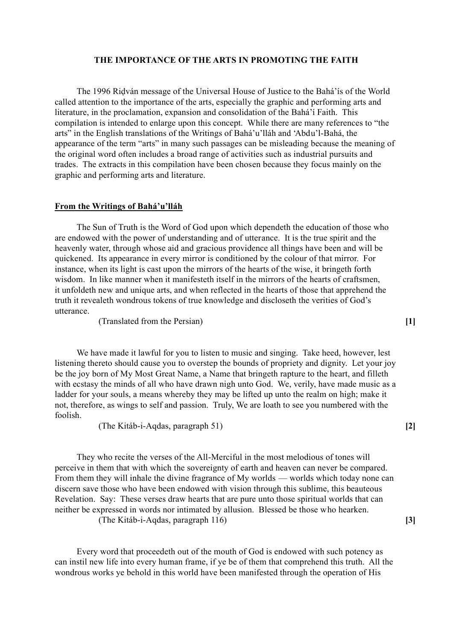#### **THE IMPORTANCE OF THE ARTS IN PROMOTING THE FAITH**

The 1996 Riḍván message of the Universal House of Justice to the Bahá'ís of the World called attention to the importance of the arts, especially the graphic and performing arts and literature, in the proclamation, expansion and consolidation of the Bahá'í Faith. This compilation is intended to enlarge upon this concept. While there are many references to "the arts" in the English translations of the Writings of Bahá'u'lláh and 'Abdu'l-Bahá, the appearance of the term "arts" in many such passages can be misleading because the meaning of the original word often includes a broad range of activities such as industrial pursuits and trades. The extracts in this compilation have been chosen because they focus mainly on the graphic and performing arts and literature.

#### **From the Writings of Bahá'u'lláh**

The Sun of Truth is the Word of God upon which dependeth the education of those who are endowed with the power of understanding and of utterance. It is the true spirit and the heavenly water, through whose aid and gracious providence all things have been and will be quickened. Its appearance in every mirror is conditioned by the colour of that mirror. For instance, when its light is cast upon the mirrors of the hearts of the wise, it bringeth forth wisdom. In like manner when it manifesteth itself in the mirrors of the hearts of craftsmen, it unfoldeth new and unique arts, and when reflected in the hearts of those that apprehend the truth it revealeth wondrous tokens of true knowledge and discloseth the verities of God's utterance.

(Translated from the Persian) **[1]**

We have made it lawful for you to listen to music and singing. Take heed, however, lest listening thereto should cause you to overstep the bounds of propriety and dignity. Let your joy be the joy born of My Most Great Name, a Name that bringeth rapture to the heart, and filleth with ecstasy the minds of all who have drawn nigh unto God. We, verily, have made music as a ladder for your souls, a means whereby they may be lifted up unto the realm on high; make it not, therefore, as wings to self and passion. Truly, We are loath to see you numbered with the foolish.

(The Kitáb-i-Aqdas, paragraph 51) **[2]**

They who recite the verses of the All-Merciful in the most melodious of tones will perceive in them that with which the sovereignty of earth and heaven can never be compared. From them they will inhale the divine fragrance of My worlds — worlds which today none can discern save those who have been endowed with vision through this sublime, this beauteous Revelation. Say: These verses draw hearts that are pure unto those spiritual worlds that can neither be expressed in words nor intimated by allusion. Blessed be those who hearken.

(The Kitáb-i-Aqdas, paragraph 116) **[3]**

Every word that proceedeth out of the mouth of God is endowed with such potency as can instil new life into every human frame, if ye be of them that comprehend this truth. All the wondrous works ye behold in this world have been manifested through the operation of His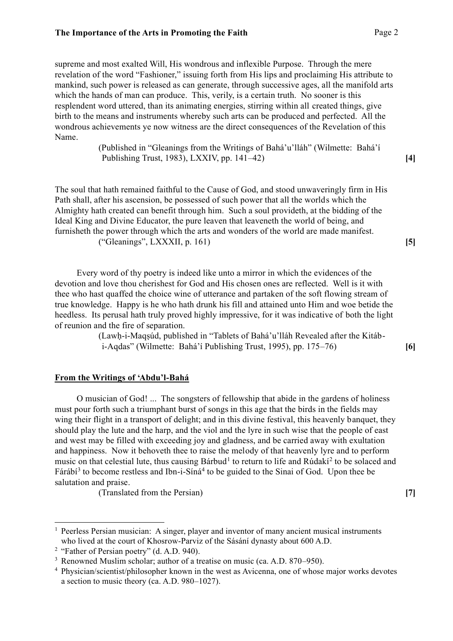supreme and most exalted Will, His wondrous and inflexible Purpose. Through the mere revelation of the word "Fashioner," issuing forth from His lips and proclaiming His attribute to mankind, such power is released as can generate, through successive ages, all the manifold arts which the hands of man can produce. This, verily, is a certain truth. No sooner is this resplendent word uttered, than its animating energies, stirring within all created things, give birth to the means and instruments whereby such arts can be produced and perfected. All the wondrous achievements ye now witness are the direct consequences of the Revelation of this Name.

> (Published in "Gleanings from the Writings of Bahá'u'lláh" (Wilmette: Bahá'í Publishing Trust, 1983), LXXIV, pp. 141–42) **[4]**

The soul that hath remained faithful to the Cause of God, and stood unwaveringly firm in His Path shall, after his ascension, be possessed of such power that all the worlds which the Almighty hath created can benefit through him. Such a soul provideth, at the bidding of the Ideal King and Divine Educator, the pure leaven that leaveneth the world of being, and furnisheth the power through which the arts and wonders of the world are made manifest. ("Gleanings", LXXXII, p. 161) **[5]**

Every word of thy poetry is indeed like unto a mirror in which the evidences of the devotion and love thou cherishest for God and His chosen ones are reflected. Well is it with thee who hast quaffed the choice wine of utterance and partaken of the soft flowing stream of true knowledge. Happy is he who hath drunk his fill and attained unto Him and woe betide the heedless. Its perusal hath truly proved highly impressive, for it was indicative of both the light of reunion and the fire of separation.

> (Lawḥ-i-Maqṣúd, published in "Tablets of Bahá'u'lláh Revealed after the Kitábi-Aqdas" (Wilmette: Bahá'í Publishing Trust, 1995), pp. 175–76) **[6]**

## **From the Writings of 'Abdu'l-Bahá**

O musician of God! ... The songsters of fellowship that abide in the gardens of holiness must pour forth such a triumphant burst of songs in this age that the birds in the fields may wing their flight in a transport of delight; and in this divine festival, this heavenly banquet, they should play the lute and the harp, and the viol and the lyre in such wise that the people of east and west may be filled with exceeding joy and gladness, and be carried away with exultation and happiness. Now it behoveth thee to raise the melody of that heavenly lyre and to perform music on that celestial lute, thus causing Bárbud<sup>1</sup> to return to life and Rúdakí<sup>2</sup> to be solaced and Fárábí<sup>3</sup> to become restless and Ibn-i-Síná<sup>4</sup> to be guided to the Sinai of God. Upon thee be salutation and praise.

(Translated from the Persian) **[7]**

<sup>&</sup>lt;sup>1</sup> Peerless Persian musician: A singer, player and inventor of many ancient musical instruments who lived at the court of Khosrow-Parviz of the Sásání dynasty about 600 A.D.

<sup>&</sup>lt;sup>2</sup> "Father of Persian poetry" (d. A.D. 940).

<sup>&</sup>lt;sup>3</sup> Renowned Muslim scholar; author of a treatise on music (ca. A.D. 870–950).

<sup>4</sup> Physician/scientist/philosopher known in the west as Avicenna, one of whose major works devotes a section to music theory (ca. A.D. 980–1027).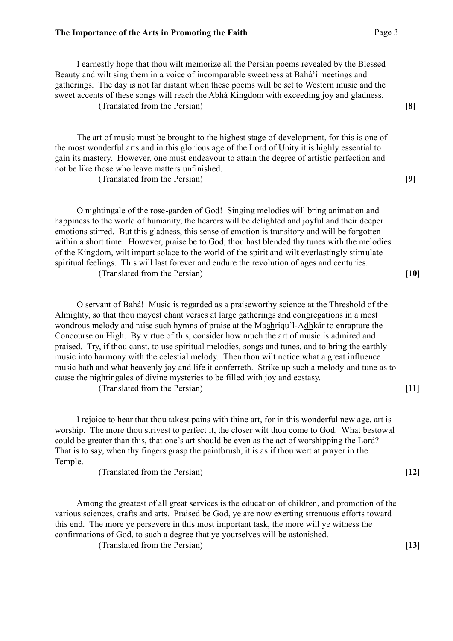I earnestly hope that thou wilt memorize all the Persian poems revealed by the Blessed Beauty and wilt sing them in a voice of incomparable sweetness at Bahá'í meetings and gatherings. The day is not far distant when these poems will be set to Western music and the sweet accents of these songs will reach the Abhá Kingdom with exceeding joy and gladness. (Translated from the Persian) **[8]**

The art of music must be brought to the highest stage of development, for this is one of the most wonderful arts and in this glorious age of the Lord of Unity it is highly essential to gain its mastery. However, one must endeavour to attain the degree of artistic perfection and not be like those who leave matters unfinished.

(Translated from the Persian) **[9]**

O nightingale of the rose-garden of God! Singing melodies will bring animation and happiness to the world of humanity, the hearers will be delighted and joyful and their deeper emotions stirred. But this gladness, this sense of emotion is transitory and will be forgotten within a short time. However, praise be to God, thou hast blended thy tunes with the melodies of the Kingdom, wilt impart solace to the world of the spirit and wilt everlastingly stimulate spiritual feelings. This will last forever and endure the revolution of ages and centuries. (Translated from the Persian) **[10]**

O servant of Bahá! Music is regarded as a praiseworthy science at the Threshold of the Almighty, so that thou mayest chant verses at large gatherings and congregations in a most wondrous melody and raise such hymns of praise at the Mashriqu'l-Adhkár to enrapture the Concourse on High. By virtue of this, consider how much the art of music is admired and praised. Try, if thou canst, to use spiritual melodies, songs and tunes, and to bring the earthly music into harmony with the celestial melody. Then thou wilt notice what a great influence music hath and what heavenly joy and life it conferreth. Strike up such a melody and tune as to cause the nightingales of divine mysteries to be filled with joy and ecstasy.

(Translated from the Persian) **[11]**

I rejoice to hear that thou takest pains with thine art, for in this wonderful new age, art is worship. The more thou strivest to perfect it, the closer wilt thou come to God. What bestowal could be greater than this, that one's art should be even as the act of worshipping the Lord? That is to say, when thy fingers grasp the paintbrush, it is as if thou wert at prayer in the Temple.

(Translated from the Persian) **[12]**

Among the greatest of all great services is the education of children, and promotion of the various sciences, crafts and arts. Praised be God, ye are now exerting strenuous efforts toward this end. The more ye persevere in this most important task, the more will ye witness the confirmations of God, to such a degree that ye yourselves will be astonished. (Translated from the Persian) **[13]**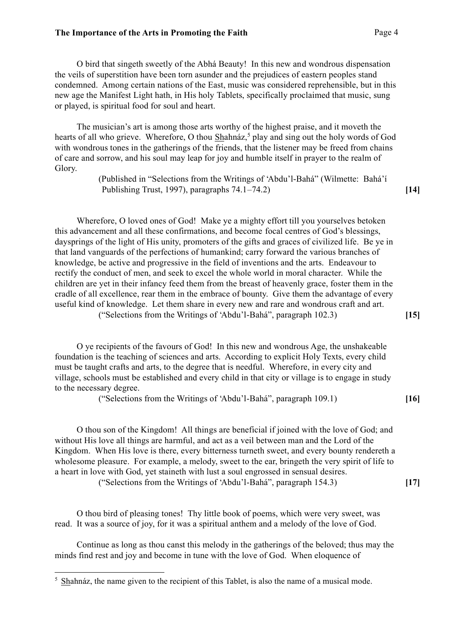O bird that singeth sweetly of the Abhá Beauty! In this new and wondrous dispensation the veils of superstition have been torn asunder and the prejudices of eastern peoples stand condemned. Among certain nations of the East, music was considered reprehensible, but in this new age the Manifest Light hath, in His holy Tablets, specifically proclaimed that music, sung or played, is spiritual food for soul and heart.

The musician's art is among those arts worthy of the highest praise, and it moveth the hearts of all who grieve. Wherefore, O thou Shahnáz,<sup>5</sup> play and sing out the holy words of God with wondrous tones in the gatherings of the friends, that the listener may be freed from chains of care and sorrow, and his soul may leap for joy and humble itself in prayer to the realm of Glory.

> (Published in "Selections from the Writings of 'Abdu'l-Bahá" (Wilmette: Bahá'í Publishing Trust, 1997), paragraphs 74.1–74.2) **[14]**

Wherefore, O loved ones of God! Make ye a mighty effort till you yourselves betoken this advancement and all these confirmations, and become focal centres of God's blessings, daysprings of the light of His unity, promoters of the gifts and graces of civilized life. Be ye in that land vanguards of the perfections of humankind; carry forward the various branches of knowledge, be active and progressive in the field of inventions and the arts. Endeavour to rectify the conduct of men, and seek to excel the whole world in moral character. While the children are yet in their infancy feed them from the breast of heavenly grace, foster them in the cradle of all excellence, rear them in the embrace of bounty. Give them the advantage of every useful kind of knowledge. Let them share in every new and rare and wondrous craft and art. ("Selections from the Writings of 'Abdu'l-Bahá", paragraph 102.3) **[15]**

O ye recipients of the favours of God! In this new and wondrous Age, the unshakeable foundation is the teaching of sciences and arts. According to explicit Holy Texts, every child must be taught crafts and arts, to the degree that is needful. Wherefore, in every city and village, schools must be established and every child in that city or village is to engage in study to the necessary degree.

("Selections from the Writings of 'Abdu'l-Bahá", paragraph 109.1) **[16]**

O thou son of the Kingdom! All things are beneficial if joined with the love of God; and without His love all things are harmful, and act as a veil between man and the Lord of the Kingdom. When His love is there, every bitterness turneth sweet, and every bounty rendereth a wholesome pleasure. For example, a melody, sweet to the ear, bringeth the very spirit of life to a heart in love with God, yet staineth with lust a soul engrossed in sensual desires.

("Selections from the Writings of 'Abdu'l-Bahá", paragraph 154.3) **[17]**

O thou bird of pleasing tones! Thy little book of poems, which were very sweet, was read. It was a source of joy, for it was a spiritual anthem and a melody of the love of God.

Continue as long as thou canst this melody in the gatherings of the beloved; thus may the minds find rest and joy and become in tune with the love of God. When eloquence of

<sup>&</sup>lt;sup>5</sup> Shahnáz, the name given to the recipient of this Tablet, is also the name of a musical mode.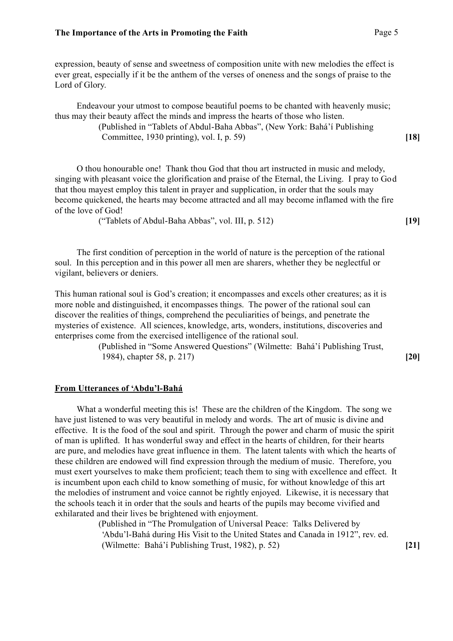expression, beauty of sense and sweetness of composition unite with new melodies the effect is ever great, especially if it be the anthem of the verses of oneness and the songs of praise to the Lord of Glory.

Endeavour your utmost to compose beautiful poems to be chanted with heavenly music; thus may their beauty affect the minds and impress the hearts of those who listen.

(Published in "Tablets of Abdul-Baha Abbas", (New York: Bahá'í Publishing Committee, 1930 printing), vol. I, p. 59) **[18]**

O thou honourable one! Thank thou God that thou art instructed in music and melody, singing with pleasant voice the glorification and praise of the Eternal, the Living. I pray to God that thou mayest employ this talent in prayer and supplication, in order that the souls may become quickened, the hearts may become attracted and all may become inflamed with the fire of the love of God!

("Tablets of Abdul-Baha Abbas", vol. III, p. 512) **[19]**

The first condition of perception in the world of nature is the perception of the rational soul. In this perception and in this power all men are sharers, whether they be neglectful or vigilant, believers or deniers.

This human rational soul is God's creation; it encompasses and excels other creatures; as it is more noble and distinguished, it encompasses things. The power of the rational soul can discover the realities of things, comprehend the peculiarities of beings, and penetrate the mysteries of existence. All sciences, knowledge, arts, wonders, institutions, discoveries and enterprises come from the exercised intelligence of the rational soul.

> (Published in "Some Answered Questions" (Wilmette: Bahá'í Publishing Trust, 1984), chapter 58, p. 217) **[20]**

# **From Utterances of 'Abdu'l-Bahá**

What a wonderful meeting this is! These are the children of the Kingdom. The song we have just listened to was very beautiful in melody and words. The art of music is divine and effective. It is the food of the soul and spirit. Through the power and charm of music the spirit of man is uplifted. It has wonderful sway and effect in the hearts of children, for their hearts are pure, and melodies have great influence in them. The latent talents with which the hearts of these children are endowed will find expression through the medium of music. Therefore, you must exert yourselves to make them proficient; teach them to sing with excellence and effect. It is incumbent upon each child to know something of music, for without knowledge of this art the melodies of instrument and voice cannot be rightly enjoyed. Likewise, it is necessary that the schools teach it in order that the souls and hearts of the pupils may become vivified and exhilarated and their lives be brightened with enjoyment.

> (Published in "The Promulgation of Universal Peace: Talks Delivered by 'Abdu'l-Bahá during His Visit to the United States and Canada in 1912", rev. ed. (Wilmette: Bahá'í Publishing Trust, 1982), p. 52) **[21]**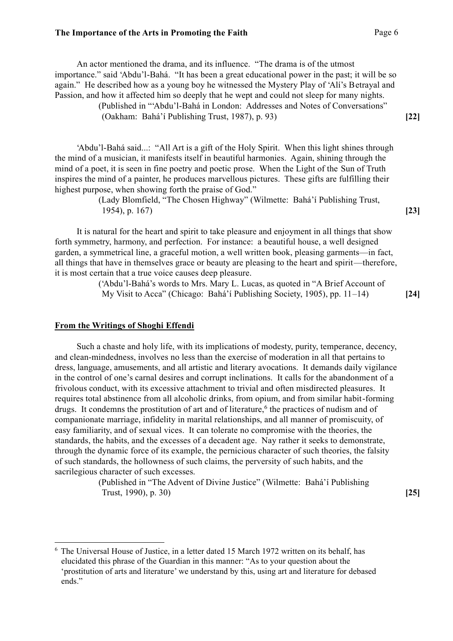An actor mentioned the drama, and its influence. "The drama is of the utmost importance." said 'Abdu'l-Bahá. "It has been a great educational power in the past; it will be so again." He described how as a young boy he witnessed the Mystery Play of 'Alí's Betrayal and Passion, and how it affected him so deeply that he wept and could not sleep for many nights.

(Published in "'Abdu'l-Bahá in London: Addresses and Notes of Conversations" (Oakham: Bahá'í Publishing Trust, 1987), p. 93) **[22]**

'Abdu'l-Bahá said...: "All Art is a gift of the Holy Spirit. When this light shines through the mind of a musician, it manifests itself in beautiful harmonies. Again, shining through the mind of a poet, it is seen in fine poetry and poetic prose. When the Light of the Sun of Truth inspires the mind of a painter, he produces marvellous pictures. These gifts are fulfilling their highest purpose, when showing forth the praise of God."

> (Lady Blomfield, "The Chosen Highway" (Wilmette: Bahá'í Publishing Trust, 1954), p. 167) **[23]**

It is natural for the heart and spirit to take pleasure and enjoyment in all things that show forth symmetry, harmony, and perfection. For instance: a beautiful house, a well designed garden, a symmetrical line, a graceful motion, a well written book, pleasing garments—in fact, all things that have in themselves grace or beauty are pleasing to the heart and spirit—therefore, it is most certain that a true voice causes deep pleasure.

> ('Abdu'l-Bahá's words to Mrs. Mary L. Lucas, as quoted in "A Brief Account of My Visit to Acca" (Chicago: Bahá'í Publishing Society, 1905), pp. 11–14) **[24]**

## **From the Writings of Shoghi Effendi**

Such a chaste and holy life, with its implications of modesty, purity, temperance, decency, and clean-mindedness, involves no less than the exercise of moderation in all that pertains to dress, language, amusements, and all artistic and literary avocations. It demands daily vigilance in the control of one's carnal desires and corrupt inclinations. It calls for the abandonment of a frivolous conduct, with its excessive attachment to trivial and often misdirected pleasures. It requires total abstinence from all alcoholic drinks, from opium, and from similar habit-forming drugs. It condemns the prostitution of art and of literature,<sup>6</sup> the practices of nudism and of companionate marriage, infidelity in marital relationships, and all manner of promiscuity, of easy familiarity, and of sexual vices. It can tolerate no compromise with the theories, the standards, the habits, and the excesses of a decadent age. Nay rather it seeks to demonstrate, through the dynamic force of its example, the pernicious character of such theories, the falsity of such standards, the hollowness of such claims, the perversity of such habits, and the sacrilegious character of such excesses.

> (Published in "The Advent of Divine Justice" (Wilmette: Bahá'í Publishing Trust, 1990), p. 30) **[25]**

<sup>6</sup> The Universal House of Justice, in a letter dated 15 March 1972 written on its behalf, has elucidated this phrase of the Guardian in this manner: "As to your question about the 'prostitution of arts and literature' we understand by this, using art and literature for debased ends."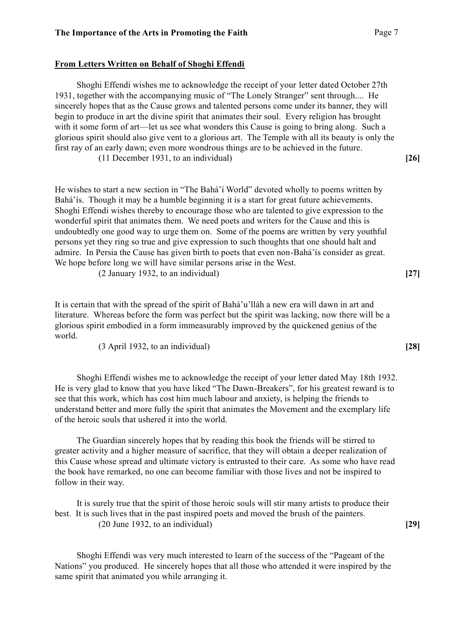## **From Letters Written on Behalf of Shoghi Effendi**

Shoghi Effendi wishes me to acknowledge the receipt of your letter dated October 27th 1931, together with the accompanying music of "The Lonely Stranger" sent through.... He sincerely hopes that as the Cause grows and talented persons come under its banner, they will begin to produce in art the divine spirit that animates their soul. Every religion has brought with it some form of art—let us see what wonders this Cause is going to bring along. Such a glorious spirit should also give vent to a glorious art. The Temple with all its beauty is only the first ray of an early dawn; even more wondrous things are to be achieved in the future.

(11 December 1931, to an individual) **[26]**

He wishes to start a new section in "The Bahá'í World" devoted wholly to poems written by Bahá'ís. Though it may be a humble beginning it is a start for great future achievements. Shoghi Effendi wishes thereby to encourage those who are talented to give expression to the wonderful spirit that animates them. We need poets and writers for the Cause and this is undoubtedly one good way to urge them on. Some of the poems are written by very youthful persons yet they ring so true and give expression to such thoughts that one should halt and admire. In Persia the Cause has given birth to poets that even non-Bahá'ís consider as great. We hope before long we will have similar persons arise in the West.

(2 January 1932, to an individual) **[27]**

It is certain that with the spread of the spirit of Bahá'u'lláh a new era will dawn in art and literature. Whereas before the form was perfect but the spirit was lacking, now there will be a glorious spirit embodied in a form immeasurably improved by the quickened genius of the world.

(3 April 1932, to an individual) **[28]**

Shoghi Effendi wishes me to acknowledge the receipt of your letter dated May 18th 1932. He is very glad to know that you have liked "The Dawn-Breakers", for his greatest reward is to see that this work, which has cost him much labour and anxiety, is helping the friends to understand better and more fully the spirit that animates the Movement and the exemplary life of the heroic souls that ushered it into the world.

The Guardian sincerely hopes that by reading this book the friends will be stirred to greater activity and a higher measure of sacrifice, that they will obtain a deeper realization of this Cause whose spread and ultimate victory is entrusted to their care. As some who have read the book have remarked, no one can become familiar with those lives and not be inspired to follow in their way.

It is surely true that the spirit of those heroic souls will stir many artists to produce their best. It is such lives that in the past inspired poets and moved the brush of the painters. (20 June 1932, to an individual) **[29]**

Shoghi Effendi was very much interested to learn of the success of the "Pageant of the Nations" you produced. He sincerely hopes that all those who attended it were inspired by the same spirit that animated you while arranging it.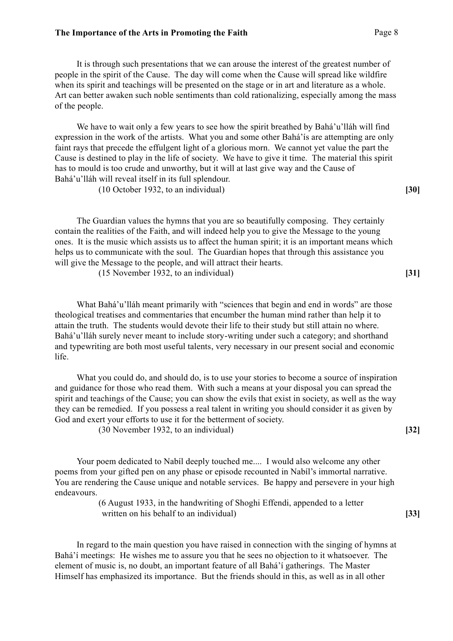It is through such presentations that we can arouse the interest of the greatest number of people in the spirit of the Cause. The day will come when the Cause will spread like wildfire when its spirit and teachings will be presented on the stage or in art and literature as a whole. Art can better awaken such noble sentiments than cold rationalizing, especially among the mass of the people.

We have to wait only a few years to see how the spirit breathed by Bahá'u'lláh will find expression in the work of the artists. What you and some other Bahá'ís are attempting are only faint rays that precede the effulgent light of a glorious morn. We cannot yet value the part the Cause is destined to play in the life of society. We have to give it time. The material this spirit has to mould is too crude and unworthy, but it will at last give way and the Cause of Bahá'u'lláh will reveal itself in its full splendour.

(10 October 1932, to an individual) **[30]**

The Guardian values the hymns that you are so beautifully composing. They certainly contain the realities of the Faith, and will indeed help you to give the Message to the young ones. It is the music which assists us to affect the human spirit; it is an important means which helps us to communicate with the soul. The Guardian hopes that through this assistance you will give the Message to the people, and will attract their hearts.

(15 November 1932, to an individual) **[31]**

What Bahá'u'lláh meant primarily with "sciences that begin and end in words" are those theological treatises and commentaries that encumber the human mind rather than help it to attain the truth. The students would devote their life to their study but still attain no where. Bahá'u'lláh surely never meant to include story-writing under such a category; and shorthand and typewriting are both most useful talents, very necessary in our present social and economic life.

What you could do, and should do, is to use your stories to become a source of inspiration and guidance for those who read them. With such a means at your disposal you can spread the spirit and teachings of the Cause; you can show the evils that exist in society, as well as the way they can be remedied. If you possess a real talent in writing you should consider it as given by God and exert your efforts to use it for the betterment of society.

(30 November 1932, to an individual) **[32]**

Your poem dedicated to Nabíl deeply touched me.... I would also welcome any other poems from your gifted pen on any phase or episode recounted in Nabíl's immortal narrative. You are rendering the Cause unique and notable services. Be happy and persevere in your high endeavours.

> (6 August 1933, in the handwriting of Shoghi Effendi, appended to a letter written on his behalf to an individual) **[33]**

In regard to the main question you have raised in connection with the singing of hymns at Bahá'í meetings: He wishes me to assure you that he sees no objection to it whatsoever. The element of music is, no doubt, an important feature of all Bahá'í gatherings. The Master Himself has emphasized its importance. But the friends should in this, as well as in all other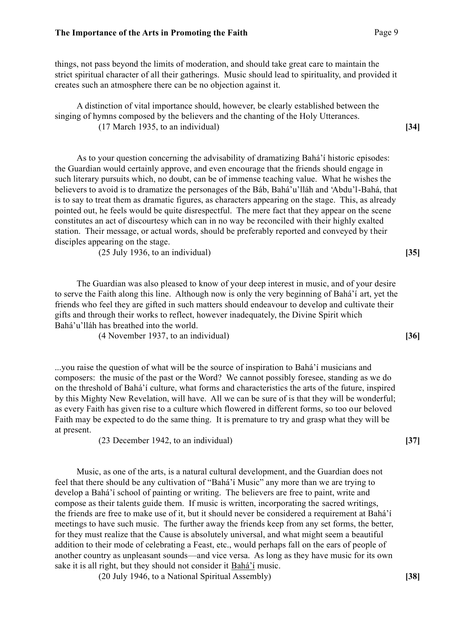things, not pass beyond the limits of moderation, and should take great care to maintain the strict spiritual character of all their gatherings. Music should lead to spirituality, and provided it creates such an atmosphere there can be no objection against it.

A distinction of vital importance should, however, be clearly established between the singing of hymns composed by the believers and the chanting of the Holy Utterances. (17 March 1935, to an individual) **[34]**

As to your question concerning the advisability of dramatizing Bahá'í historic episodes: the Guardian would certainly approve, and even encourage that the friends should engage in such literary pursuits which, no doubt, can be of immense teaching value. What he wishes the believers to avoid is to dramatize the personages of the Báb, Bahá'u'lláh and 'Abdu'l-Bahá, that is to say to treat them as dramatic figures, as characters appearing on the stage. This, as already pointed out, he feels would be quite disrespectful. The mere fact that they appear on the scene constitutes an act of discourtesy which can in no way be reconciled with their highly exalted station. Their message, or actual words, should be preferably reported and conveyed by their disciples appearing on the stage.

(25 July 1936, to an individual) **[35]**

The Guardian was also pleased to know of your deep interest in music, and of your desire to serve the Faith along this line. Although now is only the very beginning of Bahá'í art, yet the friends who feel they are gifted in such matters should endeavour to develop and cultivate their gifts and through their works to reflect, however inadequately, the Divine Spirit which Bahá'u'lláh has breathed into the world.

(4 November 1937, to an individual) **[36]**

...you raise the question of what will be the source of inspiration to Bahá'í musicians and composers: the music of the past or the Word? We cannot possibly foresee, standing as we do on the threshold of Bahá'í culture, what forms and characteristics the arts of the future, inspired by this Mighty New Revelation, will have. All we can be sure of is that they will be wonderful; as every Faith has given rise to a culture which flowered in different forms, so too our beloved Faith may be expected to do the same thing. It is premature to try and grasp what they will be at present.

(23 December 1942, to an individual) **[37]**

Music, as one of the arts, is a natural cultural development, and the Guardian does not feel that there should be any cultivation of "Bahá'í Music" any more than we are trying to develop a Bahá'í school of painting or writing. The believers are free to paint, write and compose as their talents guide them. If music is written, incorporating the sacred writings, the friends are free to make use of it, but it should never be considered a requirement at Bahá'í meetings to have such music. The further away the friends keep from any set forms, the better, for they must realize that the Cause is absolutely universal, and what might seem a beautiful addition to their mode of celebrating a Feast, etc., would perhaps fall on the ears of people of another country as unpleasant sounds—and vice versa. As long as they have music for its own sake it is all right, but they should not consider it Bahá'í music.

(20 July 1946, to a National Spiritual Assembly) **[38]**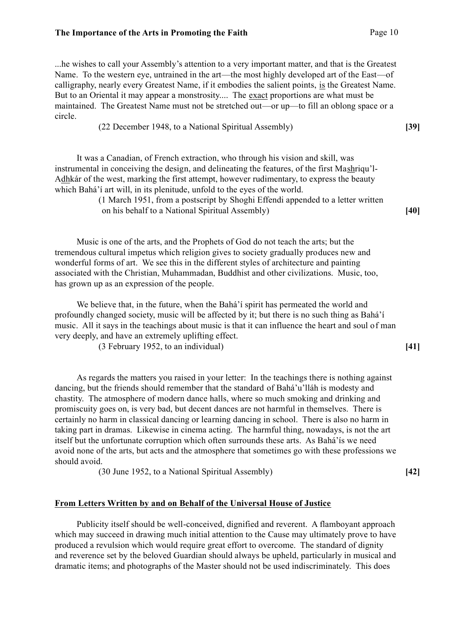...he wishes to call your Assembly's attention to a very important matter, and that is the Greatest Name. To the western eye, untrained in the art—the most highly developed art of the East—of calligraphy, nearly every Greatest Name, if it embodies the salient points, is the Greatest Name. But to an Oriental it may appear a monstrosity.... The exact proportions are what must be maintained. The Greatest Name must not be stretched out—or up—to fill an oblong space or a circle.

(22 December 1948, to a National Spiritual Assembly) **[39]**

It was a Canadian, of French extraction, who through his vision and skill, was instrumental in conceiving the design, and delineating the features, of the first Mashriqu'l-Adhkár of the west, marking the first attempt, however rudimentary, to express the beauty which Bahá'í art will, in its plenitude, unfold to the eyes of the world.

> (1 March 1951, from a postscript by Shoghi Effendi appended to a letter written on his behalf to a National Spiritual Assembly) **[40]**

Music is one of the arts, and the Prophets of God do not teach the arts; but the tremendous cultural impetus which religion gives to society gradually produces new and wonderful forms of art. We see this in the different styles of architecture and painting associated with the Christian, Muhammadan, Buddhist and other civilizations. Music, too, has grown up as an expression of the people.

We believe that, in the future, when the Bahá'í spirit has permeated the world and profoundly changed society, music will be affected by it; but there is no such thing as Bahá'í music. All it says in the teachings about music is that it can influence the heart and soul of man very deeply, and have an extremely uplifting effect.

(3 February 1952, to an individual) **[41]**

As regards the matters you raised in your letter: In the teachings there is nothing against dancing, but the friends should remember that the standard of Bahá'u'lláh is modesty and chastity. The atmosphere of modern dance halls, where so much smoking and drinking and promiscuity goes on, is very bad, but decent dances are not harmful in themselves. There is certainly no harm in classical dancing or learning dancing in school. There is also no harm in taking part in dramas. Likewise in cinema acting. The harmful thing, nowadays, is not the art itself but the unfortunate corruption which often surrounds these arts. As Bahá'ís we need avoid none of the arts, but acts and the atmosphere that sometimes go with these professions we should avoid.

(30 June 1952, to a National Spiritual Assembly) **[42]**

## **From Letters Written by and on Behalf of the Universal House of Justice**

Publicity itself should be well-conceived, dignified and reverent. A flamboyant approach which may succeed in drawing much initial attention to the Cause may ultimately prove to have produced a revulsion which would require great effort to overcome. The standard of dignity and reverence set by the beloved Guardian should always be upheld, particularly in musical and dramatic items; and photographs of the Master should not be used indiscriminately. This does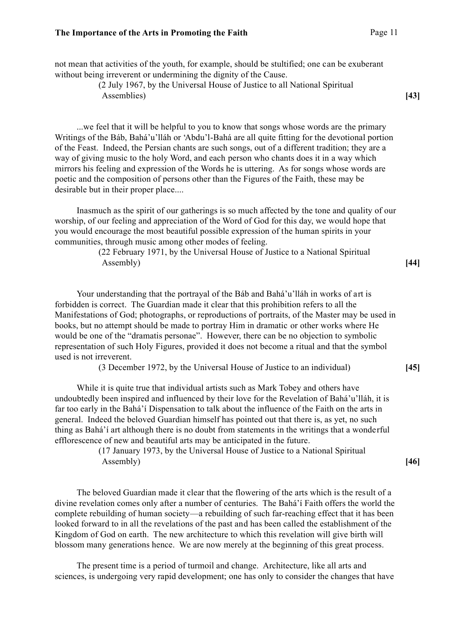not mean that activities of the youth, for example, should be stultified; one can be exuberant without being irreverent or undermining the dignity of the Cause.

(2 July 1967, by the Universal House of Justice to all National Spiritual Assemblies) **[43]**

...we feel that it will be helpful to you to know that songs whose words are the primary Writings of the Báb, Bahá'u'lláh or 'Abdu'l-Bahá are all quite fitting for the devotional portion of the Feast. Indeed, the Persian chants are such songs, out of a different tradition; they are a way of giving music to the holy Word, and each person who chants does it in a way which mirrors his feeling and expression of the Words he is uttering. As for songs whose words are poetic and the composition of persons other than the Figures of the Faith, these may be desirable but in their proper place....

Inasmuch as the spirit of our gatherings is so much affected by the tone and quality of our worship, of our feeling and appreciation of the Word of God for this day, we would hope that you would encourage the most beautiful possible expression of the human spirits in your communities, through music among other modes of feeling.

> (22 February 1971, by the Universal House of Justice to a National Spiritual Assembly) **[44]**

Your understanding that the portrayal of the Báb and Bahá'u'lláh in works of art is forbidden is correct. The Guardian made it clear that this prohibition refers to all the Manifestations of God; photographs, or reproductions of portraits, of the Master may be used in books, but no attempt should be made to portray Him in dramatic or other works where He would be one of the "dramatis personae". However, there can be no objection to symbolic representation of such Holy Figures, provided it does not become a ritual and that the symbol used is not irreverent.

(3 December 1972, by the Universal House of Justice to an individual) **[45]**

While it is quite true that individual artists such as Mark Tobey and others have undoubtedly been inspired and influenced by their love for the Revelation of Bahá'u'lláh, it is far too early in the Bahá'í Dispensation to talk about the influence of the Faith on the arts in general. Indeed the beloved Guardian himself has pointed out that there is, as yet, no such thing as Bahá'í art although there is no doubt from statements in the writings that a wonderful efflorescence of new and beautiful arts may be anticipated in the future.

> (17 January 1973, by the Universal House of Justice to a National Spiritual Assembly) **[46]**

The beloved Guardian made it clear that the flowering of the arts which is the result of a divine revelation comes only after a number of centuries. The Bahá'í Faith offers the world the complete rebuilding of human society—a rebuilding of such far-reaching effect that it has been looked forward to in all the revelations of the past and has been called the establishment of the Kingdom of God on earth. The new architecture to which this revelation will give birth will blossom many generations hence. We are now merely at the beginning of this great process.

The present time is a period of turmoil and change. Architecture, like all arts and sciences, is undergoing very rapid development; one has only to consider the changes that have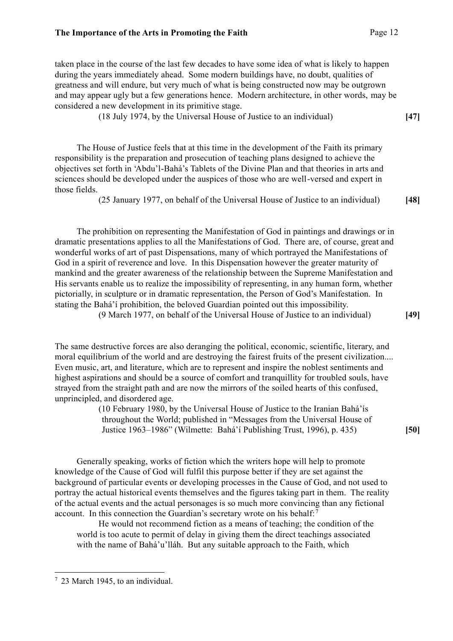taken place in the course of the last few decades to have some idea of what is likely to happen during the years immediately ahead. Some modern buildings have, no doubt, qualities of greatness and will endure, but very much of what is being constructed now may be outgrown and may appear ugly but a few generations hence. Modern architecture, in other words, may be considered a new development in its primitive stage.

(18 July 1974, by the Universal House of Justice to an individual) **[47]**

The House of Justice feels that at this time in the development of the Faith its primary responsibility is the preparation and prosecution of teaching plans designed to achieve the objectives set forth in 'Abdu'l-Bahá's Tablets of the Divine Plan and that theories in arts and sciences should be developed under the auspices of those who are well-versed and expert in those fields.

(25 January 1977, on behalf of the Universal House of Justice to an individual) **[48]**

The prohibition on representing the Manifestation of God in paintings and drawings or in dramatic presentations applies to all the Manifestations of God. There are, of course, great and wonderful works of art of past Dispensations, many of which portrayed the Manifestations of God in a spirit of reverence and love. In this Dispensation however the greater maturity of mankind and the greater awareness of the relationship between the Supreme Manifestation and His servants enable us to realize the impossibility of representing, in any human form, whether pictorially, in sculpture or in dramatic representation, the Person of God's Manifestation. In stating the Bahá'í prohibition, the beloved Guardian pointed out this impossibility.

(9 March 1977, on behalf of the Universal House of Justice to an individual) **[49]**

The same destructive forces are also deranging the political, economic, scientific, literary, and moral equilibrium of the world and are destroying the fairest fruits of the present civilization.... Even music, art, and literature, which are to represent and inspire the noblest sentiments and highest aspirations and should be a source of comfort and tranquillity for troubled souls, have strayed from the straight path and are now the mirrors of the soiled hearts of this confused, unprincipled, and disordered age.

> (10 February 1980, by the Universal House of Justice to the Iranian Bahá'ís throughout the World; published in "Messages from the Universal House of Justice 1963–1986" (Wilmette: Bahá'í Publishing Trust, 1996), p. 435) **[50]**

Generally speaking, works of fiction which the writers hope will help to promote knowledge of the Cause of God will fulfil this purpose better if they are set against the background of particular events or developing processes in the Cause of God, and not used to portray the actual historical events themselves and the figures taking part in them. The reality of the actual events and the actual personages is so much more convincing than any fictional account. In this connection the Guardian's secretary wrote on his behalf:<sup>7</sup>

He would not recommend fiction as a means of teaching; the condition of the world is too acute to permit of delay in giving them the direct teachings associated with the name of Bahá'u'lláh. But any suitable approach to the Faith, which

<sup>7</sup> 23 March 1945, to an individual.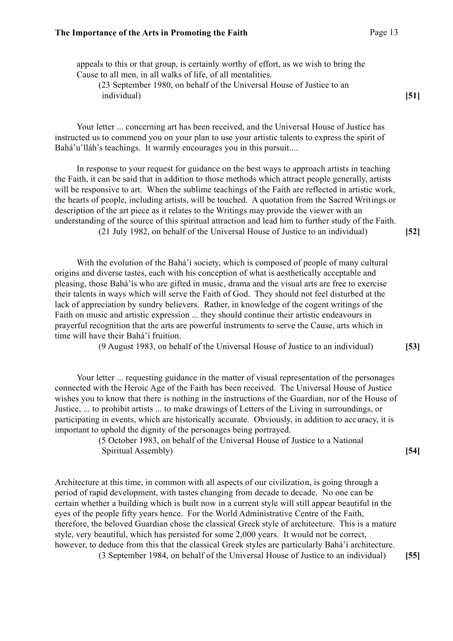appeals to this or that group, is certainly worthy of effort, as we wish to bring the Cause to all men, in all walks of life, of all mentalities.

(23 September 1980, on behalf of the Universal House of Justice to an individual) **[51]**

Your letter ... concerning art has been received, and the Universal House of Justice has instructed us to commend you on your plan to use your artistic talents to express the spirit of Bahá'u'lláh's teachings. It warmly encourages you in this pursuit....

In response to your request for guidance on the best ways to approach artists in teaching the Faith, it can be said that in addition to those methods which attract people generally, artists will be responsive to art. When the sublime teachings of the Faith are reflected in artistic work, the hearts of people, including artists, will be touched. A quotation from the Sacred Writings or description of the art piece as it relates to the Writings may provide the viewer with an understanding of the source of this spiritual attraction and lead him to further study of the Faith.

(21 July 1982, on behalf of the Universal House of Justice to an individual) **[52]**

With the evolution of the Bahá'í society, which is composed of people of many cultural origins and diverse tastes, each with his conception of what is aesthetically acceptable and pleasing, those Bahá'ís who are gifted in music, drama and the visual arts are free to exercise their talents in ways which will serve the Faith of God. They should not feel disturbed at the lack of appreciation by sundry believers. Rather, in knowledge of the cogent writings of the Faith on music and artistic expression ... they should continue their artistic endeavours in prayerful recognition that the arts are powerful instruments to serve the Cause, arts which in time will have their Bahá'í fruition.

(9 August 1983, on behalf of the Universal House of Justice to an individual) **[53]**

Your letter ... requesting guidance in the matter of visual representation of the personages connected with the Heroic Age of the Faith has been received. The Universal House of Justice wishes you to know that there is nothing in the instructions of the Guardian, nor of the House of Justice, ... to prohibit artists ... to make drawings of Letters of the Living in surroundings, or participating in events, which are historically accurate. Obviously, in addition to accuracy, it is important to uphold the dignity of the personages being portrayed.

> (5 October 1983, on behalf of the Universal House of Justice to a National Spiritual Assembly) **[54] [54]**

Architecture at this time, in common with all aspects of our civilization, is going through a period of rapid development, with tastes changing from decade to decade. No one can be certain whether a building which is built now in a current style will still appear beautiful in the eyes of the people fifty years hence. For the World Administrative Centre of the Faith, therefore, the beloved Guardian chose the classical Greek style of architecture. This is a mature style, very beautiful, which has persisted for some 2,000 years. It would not be correct, however, to deduce from this that the classical Greek styles are particularly Bahá'í architecture.

(3 September 1984, on behalf of the Universal House of Justice to an individual) **[55]**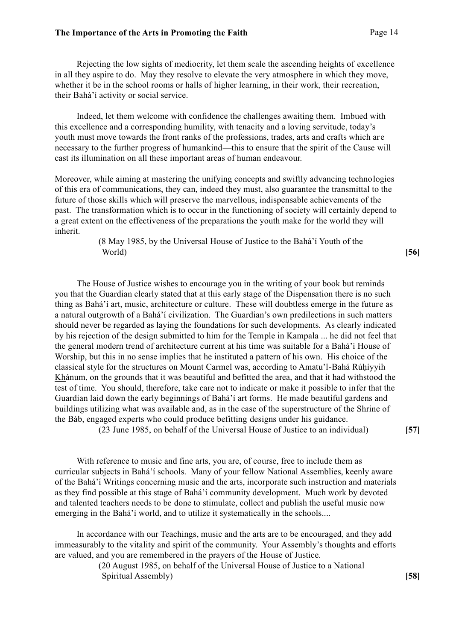Rejecting the low sights of mediocrity, let them scale the ascending heights of excellence in all they aspire to do. May they resolve to elevate the very atmosphere in which they move, whether it be in the school rooms or halls of higher learning, in their work, their recreation, their Bahá'í activity or social service.

Indeed, let them welcome with confidence the challenges awaiting them. Imbued with this excellence and a corresponding humility, with tenacity and a loving servitude, today's youth must move towards the front ranks of the professions, trades, arts and crafts which are necessary to the further progress of humankind—this to ensure that the spirit of the Cause will cast its illumination on all these important areas of human endeavour.

Moreover, while aiming at mastering the unifying concepts and swiftly advancing technologies of this era of communications, they can, indeed they must, also guarantee the transmittal to the future of those skills which will preserve the marvellous, indispensable achievements of the past. The transformation which is to occur in the functioning of society will certainly depend to a great extent on the effectiveness of the preparations the youth make for the world they will inherit.

> (8 May 1985, by the Universal House of Justice to the Bahá'í Youth of the World) **[56]**

The House of Justice wishes to encourage you in the writing of your book but reminds you that the Guardian clearly stated that at this early stage of the Dispensation there is no such thing as Bahá'í art, music, architecture or culture. These will doubtless emerge in the future as a natural outgrowth of a Bahá'í civilization. The Guardian's own predilections in such matters should never be regarded as laying the foundations for such developments. As clearly indicated by his rejection of the design submitted to him for the Temple in Kampala ... he did not feel that the general modern trend of architecture current at his time was suitable for a Bahá'í House of Worship, but this in no sense implies that he instituted a pattern of his own. His choice of the classical style for the structures on Mount Carmel was, according to Amatu'l-Bahá Rúhíyyih Khánum, on the grounds that it was beautiful and befitted the area, and that it had withstood the test of time. You should, therefore, take care not to indicate or make it possible to infer that the Guardian laid down the early beginnings of Bahá'í art forms. He made beautiful gardens and buildings utilizing what was available and, as in the case of the superstructure of the Shrine of the Báb, engaged experts who could produce befitting designs under his guidance.

(23 June 1985, on behalf of the Universal House of Justice to an individual) **[57]**

With reference to music and fine arts, you are, of course, free to include them as curricular subjects in Bahá'í schools. Many of your fellow National Assemblies, keenly aware of the Bahá'í Writings concerning music and the arts, incorporate such instruction and materials as they find possible at this stage of Bahá'í community development. Much work by devoted and talented teachers needs to be done to stimulate, collect and publish the useful music now emerging in the Bahá'í world, and to utilize it systematically in the schools....

In accordance with our Teachings, music and the arts are to be encouraged, and they add immeasurably to the vitality and spirit of the community. Your Assembly's thoughts and efforts are valued, and you are remembered in the prayers of the House of Justice.

> (20 August 1985, on behalf of the Universal House of Justice to a National Spiritual Assembly) **[58]**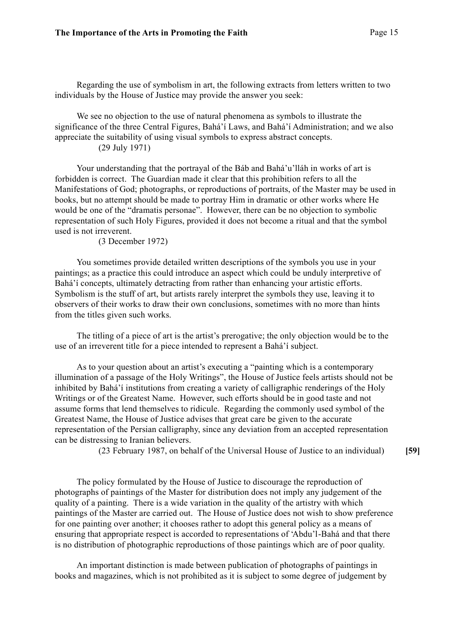Regarding the use of symbolism in art, the following extracts from letters written to two individuals by the House of Justice may provide the answer you seek:

We see no objection to the use of natural phenomena as symbols to illustrate the significance of the three Central Figures, Bahá'í Laws, and Bahá'í Administration; and we also appreciate the suitability of using visual symbols to express abstract concepts.

(29 July 1971)

Your understanding that the portrayal of the Báb and Bahá'u'lláh in works of art is forbidden is correct. The Guardian made it clear that this prohibition refers to all the Manifestations of God; photographs, or reproductions of portraits, of the Master may be used in books, but no attempt should be made to portray Him in dramatic or other works where He would be one of the "dramatis personae". However, there can be no objection to symbolic representation of such Holy Figures, provided it does not become a ritual and that the symbol used is not irreverent.

(3 December 1972)

You sometimes provide detailed written descriptions of the symbols you use in your paintings; as a practice this could introduce an aspect which could be unduly interpretive of Bahá'í concepts, ultimately detracting from rather than enhancing your artistic efforts. Symbolism is the stuff of art, but artists rarely interpret the symbols they use, leaving it to observers of their works to draw their own conclusions, sometimes with no more than hints from the titles given such works.

The titling of a piece of art is the artist's prerogative; the only objection would be to the use of an irreverent title for a piece intended to represent a Bahá'í subject.

As to your question about an artist's executing a "painting which is a contemporary illumination of a passage of the Holy Writings", the House of Justice feels artists should not be inhibited by Bahá'í institutions from creating a variety of calligraphic renderings of the Holy Writings or of the Greatest Name. However, such efforts should be in good taste and not assume forms that lend themselves to ridicule. Regarding the commonly used symbol of the Greatest Name, the House of Justice advises that great care be given to the accurate representation of the Persian calligraphy, since any deviation from an accepted representation can be distressing to Iranian believers.

(23 February 1987, on behalf of the Universal House of Justice to an individual) **[59]**

The policy formulated by the House of Justice to discourage the reproduction of photographs of paintings of the Master for distribution does not imply any judgement of the quality of a painting. There is a wide variation in the quality of the artistry with which paintings of the Master are carried out. The House of Justice does not wish to show preference for one painting over another; it chooses rather to adopt this general policy as a means of ensuring that appropriate respect is accorded to representations of 'Abdu'l-Bahá and that there is no distribution of photographic reproductions of those paintings which are of poor quality.

An important distinction is made between publication of photographs of paintings in books and magazines, which is not prohibited as it is subject to some degree of judgement by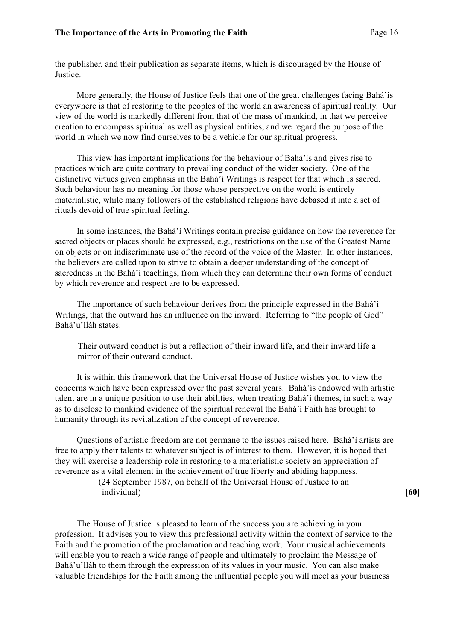the publisher, and their publication as separate items, which is discouraged by the House of Justice.

More generally, the House of Justice feels that one of the great challenges facing Bahá'ís everywhere is that of restoring to the peoples of the world an awareness of spiritual reality. Our view of the world is markedly different from that of the mass of mankind, in that we perceive creation to encompass spiritual as well as physical entities, and we regard the purpose of the world in which we now find ourselves to be a vehicle for our spiritual progress.

This view has important implications for the behaviour of Bahá'ís and gives rise to practices which are quite contrary to prevailing conduct of the wider society. One of the distinctive virtues given emphasis in the Bahá'í Writings is respect for that which is sacred. Such behaviour has no meaning for those whose perspective on the world is entirely materialistic, while many followers of the established religions have debased it into a set of rituals devoid of true spiritual feeling.

In some instances, the Bahá'í Writings contain precise guidance on how the reverence for sacred objects or places should be expressed, e.g., restrictions on the use of the Greatest Name on objects or on indiscriminate use of the record of the voice of the Master. In other instances, the believers are called upon to strive to obtain a deeper understanding of the concept of sacredness in the Bahá'í teachings, from which they can determine their own forms of conduct by which reverence and respect are to be expressed.

The importance of such behaviour derives from the principle expressed in the Bahá'í Writings, that the outward has an influence on the inward. Referring to "the people of God" Bahá'u'lláh states:

Their outward conduct is but a reflection of their inward life, and their inward life a mirror of their outward conduct.

It is within this framework that the Universal House of Justice wishes you to view the concerns which have been expressed over the past several years. Bahá'ís endowed with artistic talent are in a unique position to use their abilities, when treating Bahá'í themes, in such a way as to disclose to mankind evidence of the spiritual renewal the Bahá'í Faith has brought to humanity through its revitalization of the concept of reverence.

Questions of artistic freedom are not germane to the issues raised here. Bahá'í artists are free to apply their talents to whatever subject is of interest to them. However, it is hoped that they will exercise a leadership role in restoring to a materialistic society an appreciation of reverence as a vital element in the achievement of true liberty and abiding happiness.

> (24 September 1987, on behalf of the Universal House of Justice to an individual) **[60]**

The House of Justice is pleased to learn of the success you are achieving in your profession. It advises you to view this professional activity within the context of service to the Faith and the promotion of the proclamation and teaching work. Your musical achievements will enable you to reach a wide range of people and ultimately to proclaim the Message of Bahá'u'lláh to them through the expression of its values in your music. You can also make valuable friendships for the Faith among the influential people you will meet as your business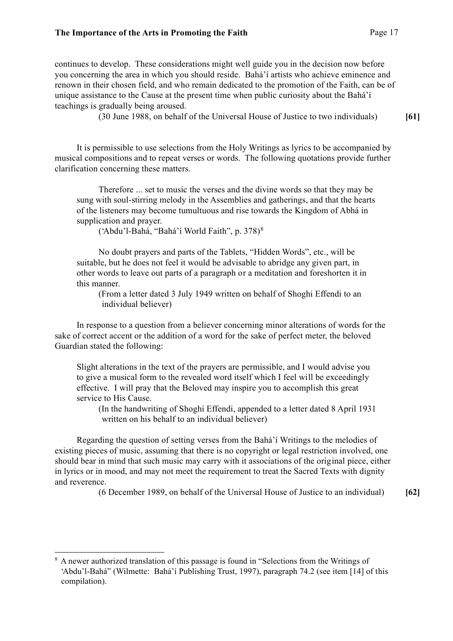continues to develop. These considerations might well guide you in the decision now before you concerning the area in which you should reside. Bahá'í artists who achieve eminence and renown in their chosen field, and who remain dedicated to the promotion of the Faith, can be of unique assistance to the Cause at the present time when public curiosity about the Bahá'í teachings is gradually being aroused.

(30 June 1988, on behalf of the Universal House of Justice to two individuals) **[61]**

It is permissible to use selections from the Holy Writings as lyrics to be accompanied by musical compositions and to repeat verses or words. The following quotations provide further clarification concerning these matters.

Therefore ... set to music the verses and the divine words so that they may be sung with soul-stirring melody in the Assemblies and gatherings, and that the hearts of the listeners may become tumultuous and rise towards the Kingdom of Abhá in supplication and prayer.

('Abdu'l-Bahá, "Bahá'í World Faith", p. 378)<sup>8</sup>

No doubt prayers and parts of the Tablets, "Hidden Words", etc., will be suitable, but he does not feel it would be advisable to abridge any given part, in other words to leave out parts of a paragraph or a meditation and foreshorten it in this manner.

(From a letter dated 3 July 1949 written on behalf of Shoghi Effendi to an individual believer)

In response to a question from a believer concerning minor alterations of words for the sake of correct accent or the addition of a word for the sake of perfect meter, the beloved Guardian stated the following:

Slight alterations in the text of the prayers are permissible, and I would advise you to give a musical form to the revealed word itself which I feel will be exceedingly effective. I will pray that the Beloved may inspire you to accomplish this great service to His Cause.

(In the handwriting of Shoghi Effendi, appended to a letter dated 8 April 1931 written on his behalf to an individual believer)

Regarding the question of setting verses from the Bahá'í Writings to the melodies of existing pieces of music, assuming that there is no copyright or legal restriction involved, one should bear in mind that such music may carry with it associations of the original piece, either in lyrics or in mood, and may not meet the requirement to treat the Sacred Texts with dignity and reverence.

(6 December 1989, on behalf of the Universal House of Justice to an individual) **[62]**

<sup>&</sup>lt;sup>8</sup> A newer authorized translation of this passage is found in "Selections from the Writings of 'Abdu'l-Bahá" (Wilmette: Bahá'í Publishing Trust, 1997), paragraph 74.2 (see item [14] of this compilation).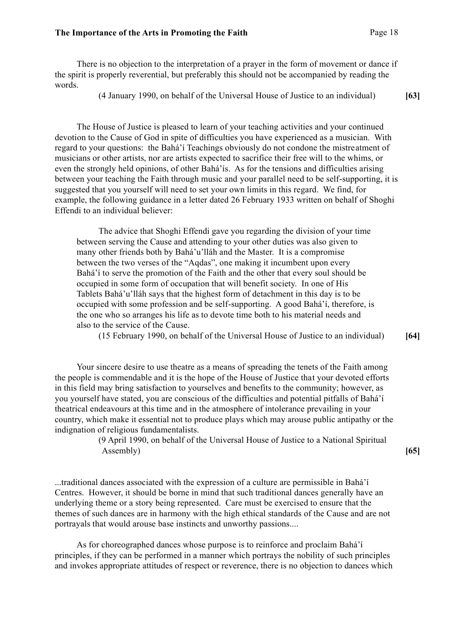There is no objection to the interpretation of a prayer in the form of movement or dance if the spirit is properly reverential, but preferably this should not be accompanied by reading the words.

(4 January 1990, on behalf of the Universal House of Justice to an individual) **[63]**

The House of Justice is pleased to learn of your teaching activities and your continued devotion to the Cause of God in spite of difficulties you have experienced as a musician. With regard to your questions: the Bahá'í Teachings obviously do not condone the mistreatment of musicians or other artists, nor are artists expected to sacrifice their free will to the whims, or even the strongly held opinions, of other Bahá'ís. As for the tensions and difficulties arising between your teaching the Faith through music and your parallel need to be self-supporting, it is suggested that you yourself will need to set your own limits in this regard. We find, for example, the following guidance in a letter dated 26 February 1933 written on behalf of Shoghi Effendi to an individual believer:

The advice that Shoghi Effendi gave you regarding the division of your time between serving the Cause and attending to your other duties was also given to many other friends both by Bahá'u'lláh and the Master. It is a compromise between the two verses of the "Aqdas", one making it incumbent upon every Bahá'í to serve the promotion of the Faith and the other that every soul should be occupied in some form of occupation that will benefit society. In one of His Tablets Bahá'u'lláh says that the highest form of detachment in this day is to be occupied with some profession and be self-supporting. A good Bahá'í, therefore, is the one who so arranges his life as to devote time both to his material needs and also to the service of the Cause.

(15 February 1990, on behalf of the Universal House of Justice to an individual) **[64]**

Your sincere desire to use theatre as a means of spreading the tenets of the Faith among the people is commendable and it is the hope of the House of Justice that your devoted efforts in this field may bring satisfaction to yourselves and benefits to the community; however, as you yourself have stated, you are conscious of the difficulties and potential pitfalls of Bahá'í theatrical endeavours at this time and in the atmosphere of intolerance prevailing in your country, which make it essential not to produce plays which may arouse public antipathy or the indignation of religious fundamentalists.

> (9 April 1990, on behalf of the Universal House of Justice to a National Spiritual Assembly) **[65]**

...traditional dances associated with the expression of a culture are permissible in Bahá'í Centres. However, it should be borne in mind that such traditional dances generally have an underlying theme or a story being represented. Care must be exercised to ensure that the themes of such dances are in harmony with the high ethical standards of the Cause and are not portrayals that would arouse base instincts and unworthy passions....

As for choreographed dances whose purpose is to reinforce and proclaim Bahá'í principles, if they can be performed in a manner which portrays the nobility of such principles and invokes appropriate attitudes of respect or reverence, there is no objection to dances which